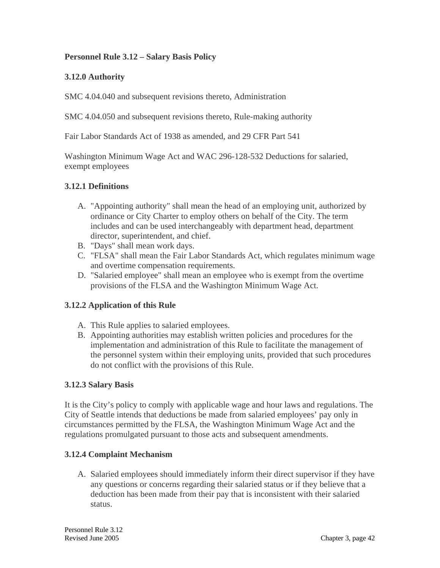## **Personnel Rule 3.12 – Salary Basis Policy**

## **3.12.0 Authority**

SMC 4.04.040 and subsequent revisions thereto, Administration

SMC 4.04.050 and subsequent revisions thereto, Rule-making authority

Fair Labor Standards Act of 1938 as amended, and 29 CFR Part 541

Washington Minimum Wage Act and WAC 296-128-532 Deductions for salaried, exempt employees

## **3.12.1 Definitions**

- A. "Appointing authority" shall mean the head of an employing unit, authorized by ordinance or City Charter to employ others on behalf of the City. The term includes and can be used interchangeably with department head, department director, superintendent, and chief.
- B. "Days" shall mean work days.
- C. "FLSA" shall mean the Fair Labor Standards Act, which regulates minimum wage and overtime compensation requirements.
- D. "Salaried employee" shall mean an employee who is exempt from the overtime provisions of the FLSA and the Washington Minimum Wage Act.

#### **3.12.2 Application of this Rule**

- A. This Rule applies to salaried employees.
- B. Appointing authorities may establish written policies and procedures for the implementation and administration of this Rule to facilitate the management of the personnel system within their employing units, provided that such procedures do not conflict with the provisions of this Rule.

#### **3.12.3 Salary Basis**

It is the City's policy to comply with applicable wage and hour laws and regulations. The City of Seattle intends that deductions be made from salaried employees' pay only in circumstances permitted by the FLSA, the Washington Minimum Wage Act and the regulations promulgated pursuant to those acts and subsequent amendments.

#### **3.12.4 Complaint Mechanism**

A. Salaried employees should immediately inform their direct supervisor if they have any questions or concerns regarding their salaried status or if they believe that a deduction has been made from their pay that is inconsistent with their salaried status.